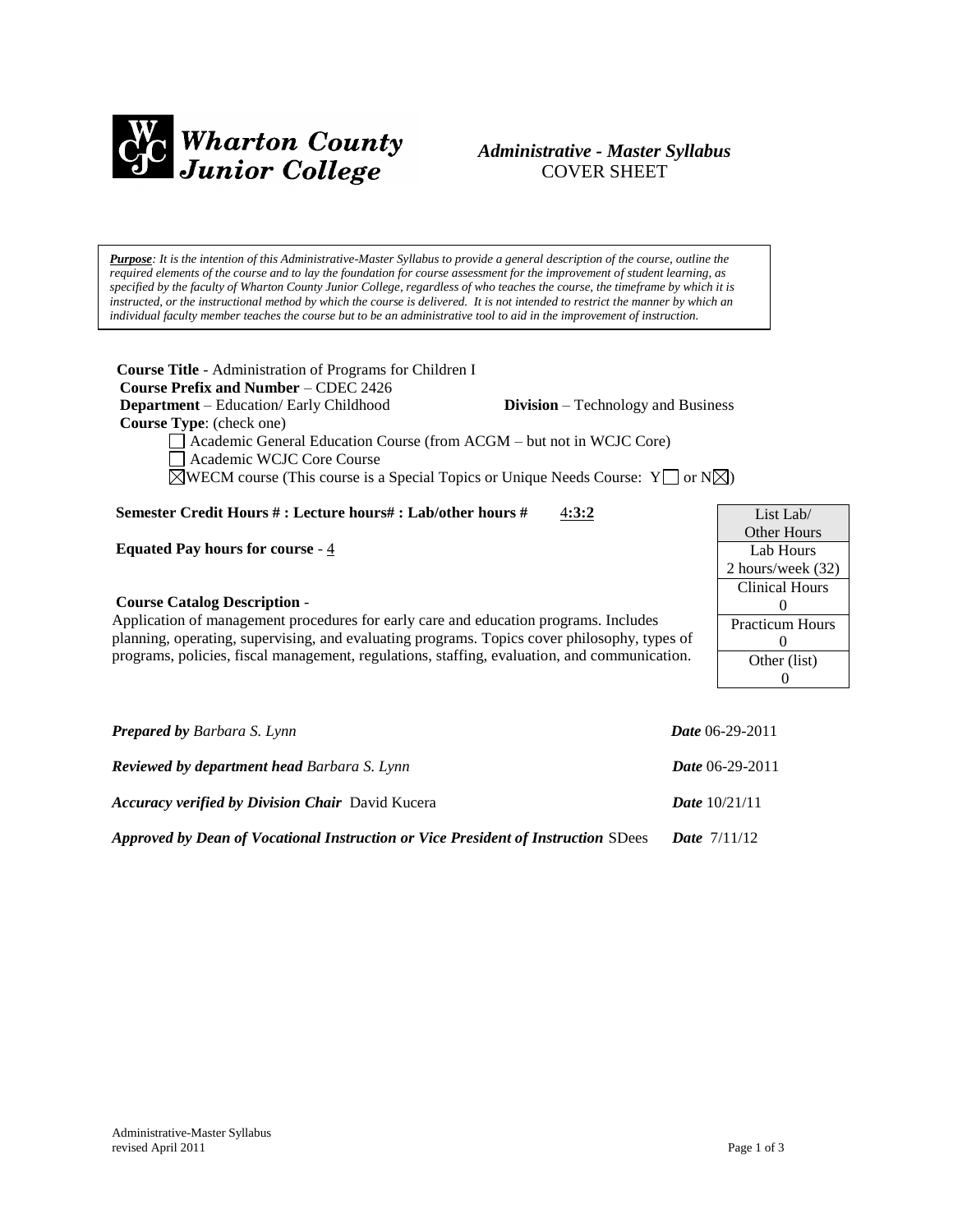

# *Administrative - Master Syllabus*  COVER SHEET

*Purpose: It is the intention of this Administrative-Master Syllabus to provide a general description of the course, outline the required elements of the course and to lay the foundation for course assessment for the improvement of student learning, as specified by the faculty of Wharton County Junior College, regardless of who teaches the course, the timeframe by which it is instructed, or the instructional method by which the course is delivered. It is not intended to restrict the manner by which an individual faculty member teaches the course but to be an administrative tool to aid in the improvement of instruction.*

**Course Title** - Administration of Programs for Children I  **Course Prefix and Number** – CDEC 2426  **Department** – Education/ Early Childhood **Division** – Technology and Business  **Course Type**: (check one) Academic General Education Course (from ACGM – but not in WCJC Core) Academic WCJC Core Course  $\boxtimes$ WECM course (This course is a Special Topics or Unique Needs Course: Y  $\Box$  or N $\boxtimes$ ) **Semester Credit Hours # : Lecture hours# : Lab/other hours #** 4**:3:2**

**Equated Pay hours for course** - 4

### **Course Catalog Description** -

Application of management procedures for early care and education programs. Includes planning, operating, supervising, and evaluating programs. Topics cover philosophy, types of programs, policies, fiscal management, regulations, staffing, evaluation, and communication.

| List Lab $/$           |  |  |
|------------------------|--|--|
| Other Hours            |  |  |
| Lab Hours              |  |  |
| 2 hours/week (32)      |  |  |
| <b>Clinical Hours</b>  |  |  |
| 0                      |  |  |
| <b>Practicum Hours</b> |  |  |
| $\mathbf{0}$           |  |  |
| Other (list)           |  |  |
|                        |  |  |

| <b>Prepared by Barbara S. Lynn</b>                                                | <b>Date</b> 06-29-2011   |
|-----------------------------------------------------------------------------------|--------------------------|
| <b>Reviewed by department head Barbara S. Lynn</b>                                | <i>Date</i> $06-29-2011$ |
| <b>Accuracy verified by Division Chair</b> David Kucera                           | <b>Date</b> $10/21/11$   |
| Approved by Dean of Vocational Instruction or Vice President of Instruction SDees | <b>Date</b> $7/11/12$    |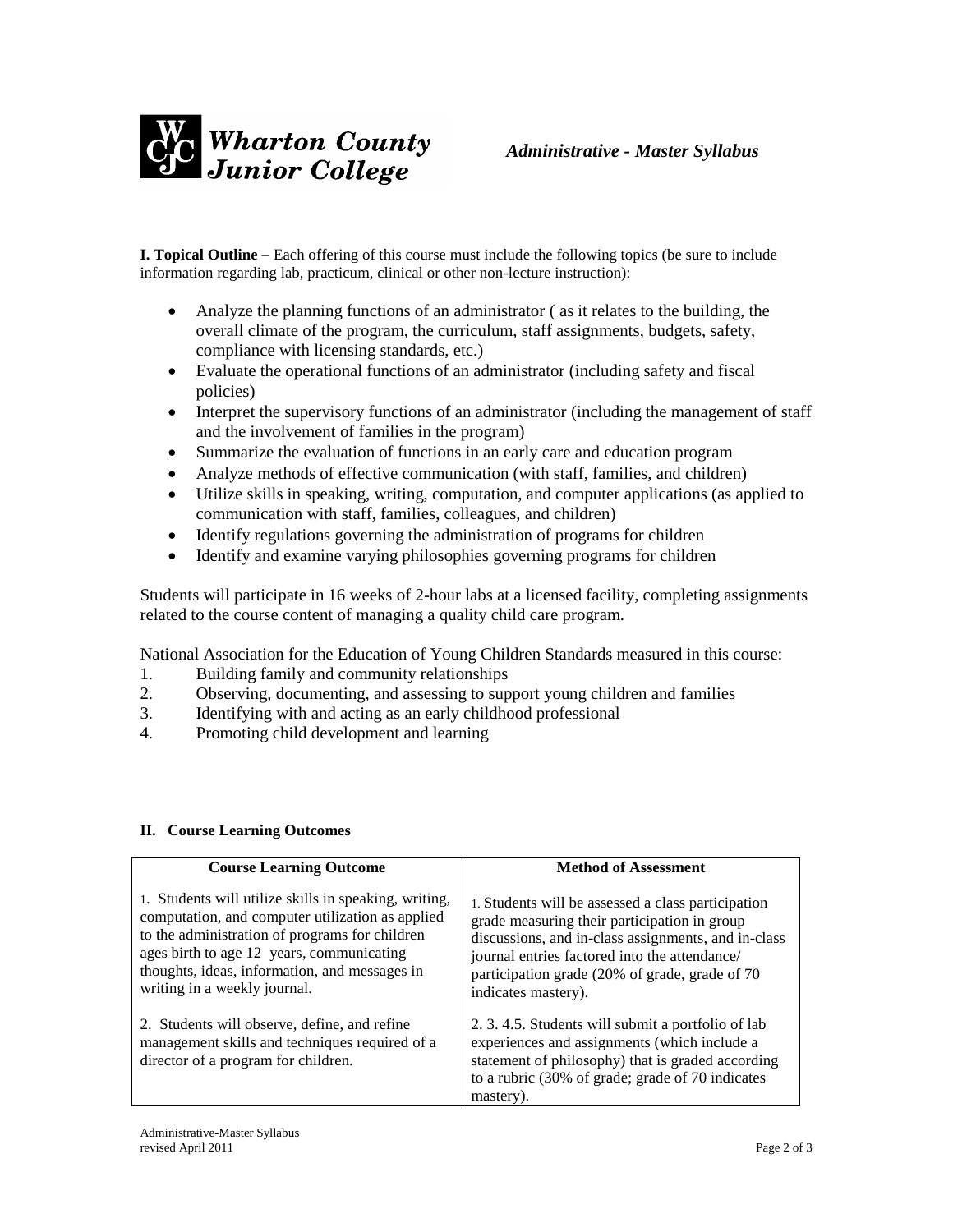

**I. Topical Outline** – Each offering of this course must include the following topics (be sure to include information regarding lab, practicum, clinical or other non-lecture instruction):

- Analyze the planning functions of an administrator ( as it relates to the building, the overall climate of the program, the curriculum, staff assignments, budgets, safety, compliance with licensing standards, etc.)
- Evaluate the operational functions of an administrator (including safety and fiscal policies)
- Interpret the supervisory functions of an administrator (including the management of staff and the involvement of families in the program)
- Summarize the evaluation of functions in an early care and education program
- Analyze methods of effective communication (with staff, families, and children)
- Utilize skills in speaking, writing, computation, and computer applications (as applied to communication with staff, families, colleagues, and children)
- Identify regulations governing the administration of programs for children
- Identify and examine varying philosophies governing programs for children

Students will participate in 16 weeks of 2-hour labs at a licensed facility, completing assignments related to the course content of managing a quality child care program.

National Association for the Education of Young Children Standards measured in this course:

- 1. Building family and community relationships
- 2. Observing, documenting, and assessing to support young children and families
- 3. Identifying with and acting as an early childhood professional
- 4. Promoting child development and learning

# **II. Course Learning Outcomes**

| <b>Course Learning Outcome</b>                                                                                                                                                                                                                                                            | <b>Method of Assessment</b>                                                                                                                                                                                                                                                         |
|-------------------------------------------------------------------------------------------------------------------------------------------------------------------------------------------------------------------------------------------------------------------------------------------|-------------------------------------------------------------------------------------------------------------------------------------------------------------------------------------------------------------------------------------------------------------------------------------|
| 1. Students will utilize skills in speaking, writing,<br>computation, and computer utilization as applied<br>to the administration of programs for children<br>ages birth to age 12 years, communicating<br>thoughts, ideas, information, and messages in<br>writing in a weekly journal. | 1. Students will be assessed a class participation<br>grade measuring their participation in group<br>discussions, and in-class assignments, and in-class<br>journal entries factored into the attendance/<br>participation grade (20% of grade, grade of 70<br>indicates mastery). |
| 2. Students will observe, define, and refine<br>management skills and techniques required of a<br>director of a program for children.                                                                                                                                                     | 2. 3. 4.5. Students will submit a portfolio of lab<br>experiences and assignments (which include a<br>statement of philosophy) that is graded according<br>to a rubric (30% of grade; grade of 70 indicates<br>mastery).                                                            |